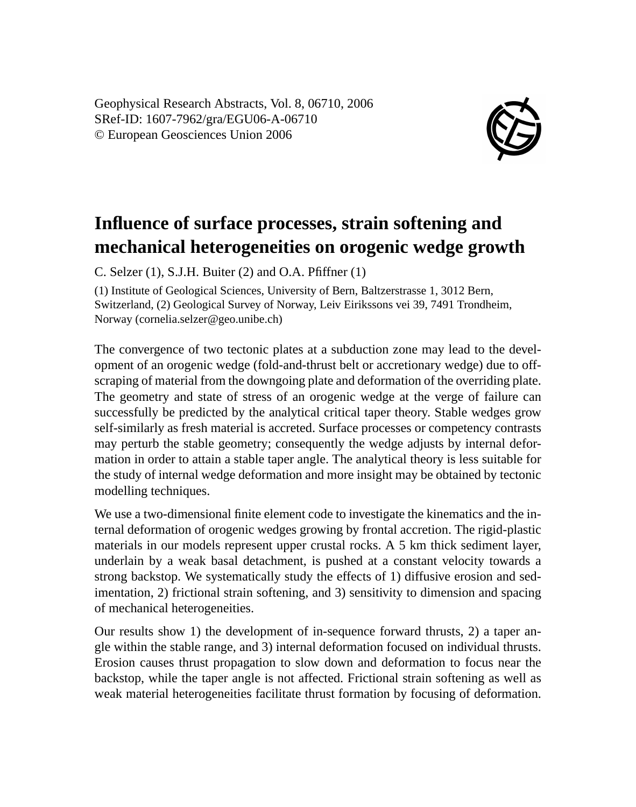Geophysical Research Abstracts, Vol. 8, 06710, 2006 SRef-ID: 1607-7962/gra/EGU06-A-06710 © European Geosciences Union 2006



## **Influence of surface processes, strain softening and mechanical heterogeneities on orogenic wedge growth**

C. Selzer  $(1)$ , S.J.H. Buiter  $(2)$  and O.A. Pfiffner  $(1)$ 

(1) Institute of Geological Sciences, University of Bern, Baltzerstrasse 1, 3012 Bern, Switzerland, (2) Geological Survey of Norway, Leiv Eirikssons vei 39, 7491 Trondheim, Norway (cornelia.selzer@geo.unibe.ch)

The convergence of two tectonic plates at a subduction zone may lead to the development of an orogenic wedge (fold-and-thrust belt or accretionary wedge) due to offscraping of material from the downgoing plate and deformation of the overriding plate. The geometry and state of stress of an orogenic wedge at the verge of failure can successfully be predicted by the analytical critical taper theory. Stable wedges grow self-similarly as fresh material is accreted. Surface processes or competency contrasts may perturb the stable geometry; consequently the wedge adjusts by internal deformation in order to attain a stable taper angle. The analytical theory is less suitable for the study of internal wedge deformation and more insight may be obtained by tectonic modelling techniques.

We use a two-dimensional finite element code to investigate the kinematics and the internal deformation of orogenic wedges growing by frontal accretion. The rigid-plastic materials in our models represent upper crustal rocks. A 5 km thick sediment layer, underlain by a weak basal detachment, is pushed at a constant velocity towards a strong backstop. We systematically study the effects of 1) diffusive erosion and sedimentation, 2) frictional strain softening, and 3) sensitivity to dimension and spacing of mechanical heterogeneities.

Our results show 1) the development of in-sequence forward thrusts, 2) a taper angle within the stable range, and 3) internal deformation focused on individual thrusts. Erosion causes thrust propagation to slow down and deformation to focus near the backstop, while the taper angle is not affected. Frictional strain softening as well as weak material heterogeneities facilitate thrust formation by focusing of deformation.